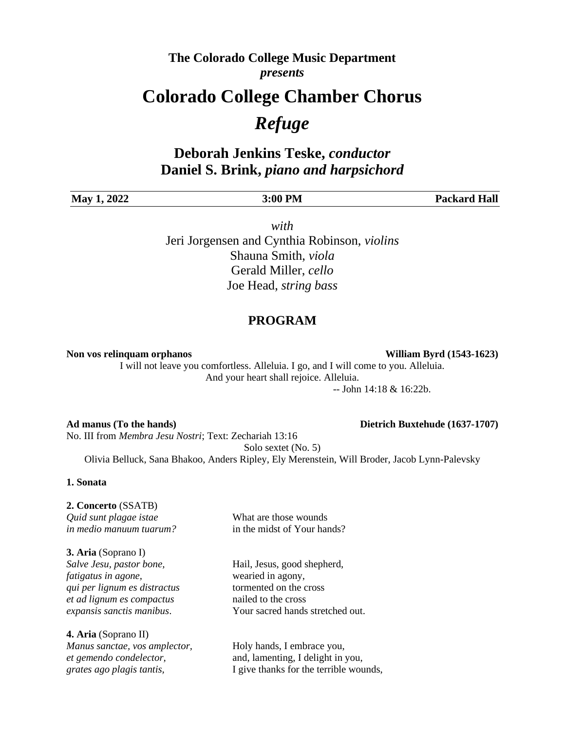### **The Colorado College Music Department** *presents*

## **Colorado College Chamber Chorus**

# *Refuge*

## **Deborah Jenkins Teske,** *conductor* **Daniel S. Brink,** *piano and harpsichord*

| May 1.<br>2022 | 3:00 PM | <b>Packard Hall</b> |
|----------------|---------|---------------------|
|                |         |                     |

*with* Jeri Jorgensen and Cynthia Robinson, *violins* Shauna Smith, *viola* Gerald Miller, *cello*  Joe Head, *string bass*

### **PROGRAM**

**Non vos relinquam orphanos William Byrd (1543-1623)**

I will not leave you comfortless. Alleluia. I go, and I will come to you. Alleluia. And your heart shall rejoice. Alleluia.

-- John 14:18 & 16:22b.

#### **Ad manus (To the hands) Dietrich Buxtehude (1637-1707)** No. III from *Membra Jesu Nostri*; Text: Zechariah 13:16 Solo sextet (No. 5) Olivia Belluck, Sana Bhakoo, Anders Ripley, Ely Merenstein, Will Broder, Jacob Lynn-Palevsky

#### **1. Sonata**

#### **2. Concerto** (SSATB)

*Quid sunt plagae istae* What are those wounds *in medio manuum tuarum?* in the midst of Your hands?

**3. Aria** (Soprano I) *Salve Jesu, pastor bone,* Hail, Jesus, good shepherd, *fatigatus in agone,* wearied in agony, *qui per lignum es distractus* tormented on the cross *et ad lignum es compactus* nailed to the cross

**4. Aria** (Soprano II) *Manus sanctae, vos amplector,* Holy hands, I embrace you,

*expansis sanctis manibus*. Your sacred hands stretched out.

*et gemendo condelector,* and, lamenting, I delight in you, *grates ago plagis tantis,* I give thanks for the terrible wounds,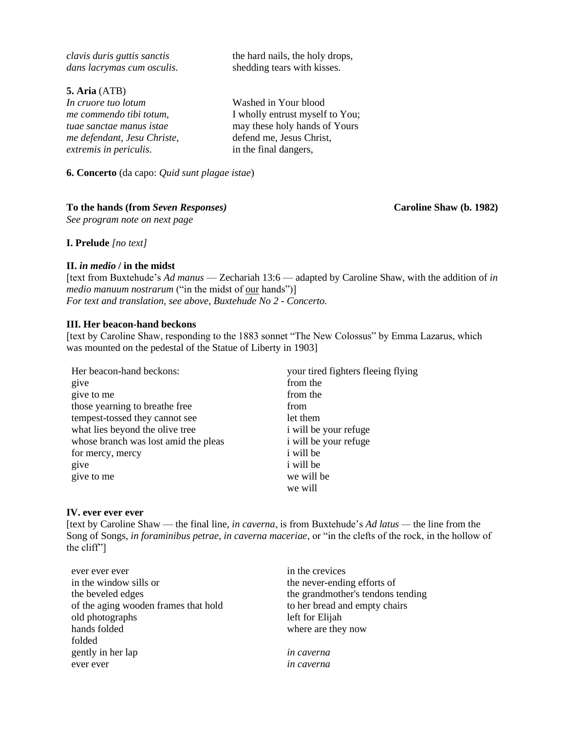| the hard nails, the holy drops,<br>shedding tears with kisses. |
|----------------------------------------------------------------|
|                                                                |
| Washed in Your blood                                           |
| I wholly entrust myself to You;                                |
| may these holy hands of Yours                                  |
| defend me, Jesus Christ,                                       |
| in the final dangers,                                          |
|                                                                |

**6. Concerto** (da capo: *Quid sunt plagae istae*)

#### **To the hands (from** *Seven Responses)* **Caroline Shaw (b. 1982)**

*See program note on next page*

**I. Prelude** *[no text]*

#### **II.** *in medio* **/ in the midst**

[text from Buxtehude's *Ad manus* — Zechariah 13:6 — adapted by Caroline Shaw, with the addition of *in medio manuum nostrarum* ("in the midst of <u>our</u> hands")] *For text and translation, see above, Buxtehude No 2 - Concerto.*

#### **III. Her beacon-hand beckons**

[text by Caroline Shaw, responding to the 1883 sonnet "The New Colossus" by Emma Lazarus, which was mounted on the pedestal of the Statue of Liberty in 1903]

| Her beacon-hand beckons:             | your tired fighters fleeing flying |
|--------------------------------------|------------------------------------|
| give                                 | from the                           |
| give to me                           | from the                           |
| those yearning to breathe free       | from                               |
| tempest-tossed they cannot see       | let them                           |
| what lies beyond the olive tree      | i will be your refuge              |
| whose branch was lost amid the pleas | i will be your refuge              |
| for mercy, mercy                     | <i>i</i> will be                   |
| give                                 | <i>i</i> will be                   |
| give to me                           | we will be                         |
|                                      | we will                            |

#### **IV. ever ever ever**

[text by Caroline Shaw — the final line, *in caverna*, is from Buxtehude's *Ad latus —* the line from the Song of Songs, *in foraminibus petrae, in caverna maceriae*, or "in the clefts of the rock, in the hollow of the cliff"]

| ever ever ever                       | in the crevices                   |
|--------------------------------------|-----------------------------------|
| in the window sills or               | the never-ending efforts of       |
| the beveled edges                    | the grandmother's tendons tending |
| of the aging wooden frames that hold | to her bread and empty chairs     |
| old photographs                      | left for Elijah                   |
| hands folded                         | where are they now                |
| folded                               |                                   |
| gently in her lap                    | <i>in caverna</i>                 |
| ever ever                            | in caverna                        |
|                                      |                                   |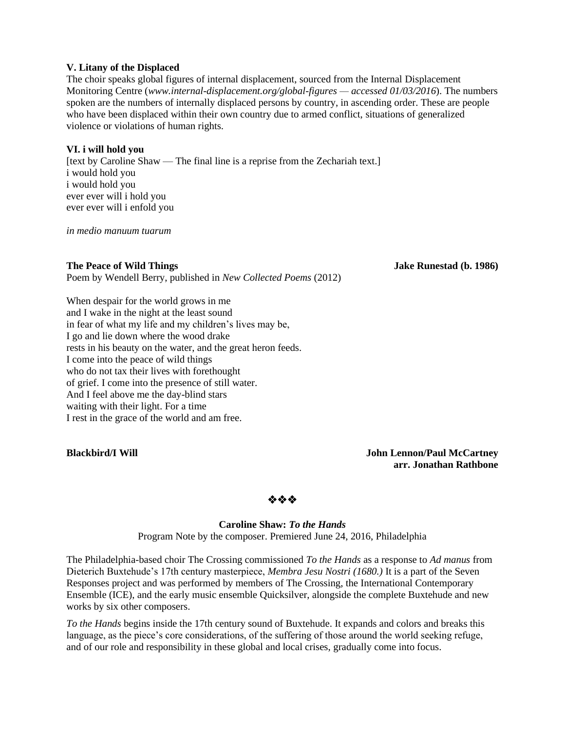#### **V. Litany of the Displaced**

The choir speaks global figures of internal displacement, sourced from the Internal Displacement Monitoring Centre (*www.internal-displacement.org/global-figures — accessed 01/03/2016*). The numbers spoken are the numbers of internally displaced persons by country, in ascending order. These are people who have been displaced within their own country due to armed conflict, situations of generalized violence or violations of human rights.

#### **VI. i will hold you**

[text by Caroline Shaw — The final line is a reprise from the Zechariah text.] i would hold you i would hold you ever ever will i hold you ever ever will i enfold you

*in medio manuum tuarum*

#### **The Peace of Wild Things Jake Runestad (b. 1986)**

Poem by Wendell Berry, published in *New Collected Poems* (2012)

When despair for the world grows in me and I wake in the night at the least sound in fear of what my life and my children's lives may be, I go and lie down where the wood drake rests in his beauty on the water, and the great heron feeds. I come into the peace of wild things who do not tax their lives with forethought of grief. I come into the presence of still water. And I feel above me the day-blind stars waiting with their light. For a time I rest in the grace of the world and am free.

**Blackbird/I Will John Lennon/Paul McCartney arr. Jonathan Rathbone**

❖❖❖

#### **Caroline Shaw:** *To the Hands*

Program Note by the composer. Premiered June 24, 2016, Philadelphia

The Philadelphia-based choir The Crossing commissioned *To the Hands* as a response to *Ad manus* from Dieterich Buxtehude's 17th century masterpiece, *Membra Jesu Nostri (1680.)* It is a part of the Seven Responses project and was performed by members of The Crossing, the International Contemporary Ensemble (ICE), and the early music ensemble Quicksilver, alongside the complete Buxtehude and new works by six other composers.

*To the Hands* begins inside the 17th century sound of Buxtehude. It expands and colors and breaks this language, as the piece's core considerations, of the suffering of those around the world seeking refuge, and of our role and responsibility in these global and local crises, gradually come into focus.